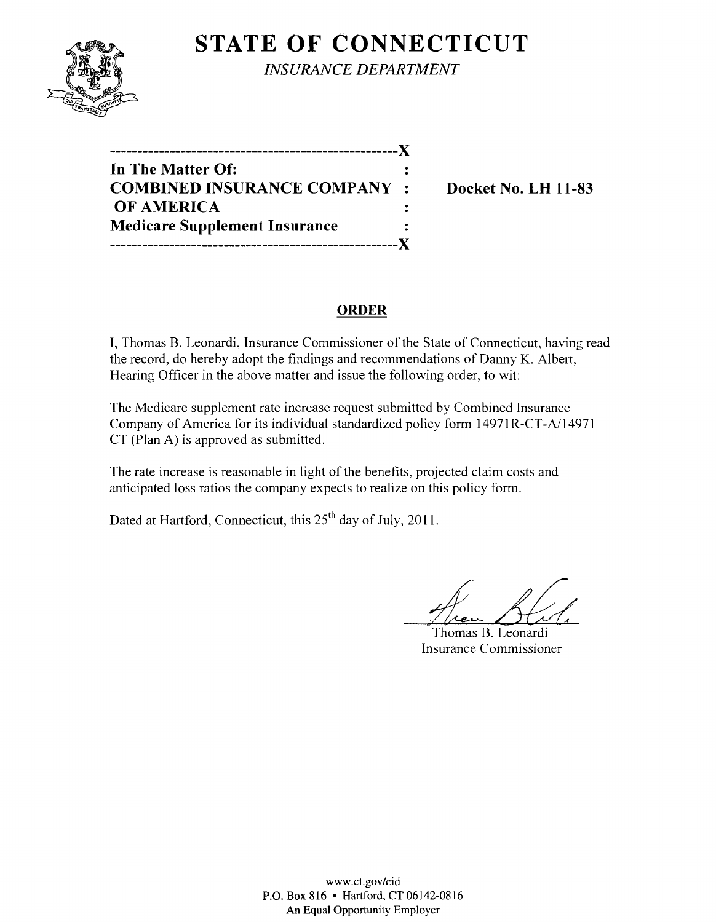

**STATE OF CONNECTICUT** *INSURANCE DEPARTMENT* 

**-----------------------------------------------------)( In The Matter Of: COMBINED INSURANCE COMPANY : Docket No. LH 11-83 OF AMERICA Medicare Supplement Insurance -----------------------------------------------------)(** 

# **ORDER**

I, Thomas B. Leonardi, Insurance Commissioner of the State of Connecticut, having read the record, do hereby adopt the findings and recommendations of Danny K. Albert, Hearing Officer in the above matter and issue the following order, to wit:

The Medicare supplement rate increase request submitted by Combined Insurance Company of America for its individual standardized policy form 14971R-CT-A/14971 CT (Plan A) is approved as submitted.

The rate increase is reasonable in light of the benefits, projected claim costs and anticipated loss ratios the company expects to realize on this policy form.

Dated at Hartford, Connecticut, this  $25<sup>th</sup>$  day of July, 2011.

Hen Bal.

Thomas B. Leonardi Insurance Commissioner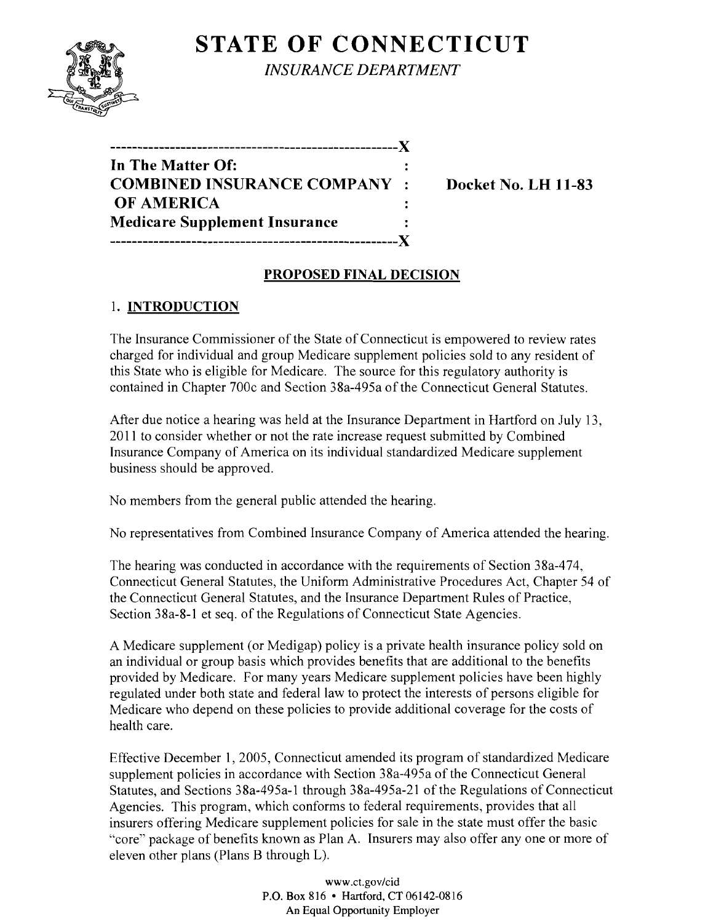# **STATE OF CONNECTICUT**



*INSURANCE DEPARTMENT* 

| In The Matter Of:                    |  |
|--------------------------------------|--|
| <b>COMBINED INSURANCE COMPANY:</b>   |  |
| <b>OF AMERICA</b>                    |  |
| <b>Medicare Supplement Insurance</b> |  |
|                                      |  |

**Docket No. LH 11-83** 

## **PROPOSED FINAL DECISION**

# **1. INTRODUCTION**

The Insurance Commissioner of the State of Connecticut is empowered to review rates charged for individual and group Medicare supplement policies sold to any resident of this State who is eligible for Medicare. The source for this regulatory authority is contained in Chapter 700c and Section 38a-495a of the Connecticut General Statutes.

After due notice a hearing was held at the Insurance Department in Hartford on July 13, 2011 to consider whether or not the rate increase request submitted by Combined Insurance Company of America on its individual standardized Medicare supplement business should be approved.

No members from the general public attended the hearing.

No representatives from Combined Insurance Company of America attended the hearing.

The hearing was conducted in accordance with the requirements of Section 38a-474, Connecticut General Statutes, the Uniform Administrative Procedures Act, Chapter 54 of the Connecticut General Statutes, and the Insurance Department Rules of Practice, Section 38a-8-I et seq. of the Regulations of Connecticut State Agencies.

A Medicare supplement (or Medigap) policy is a private health insurance policy sold on an individual or group basis which provides benefits that are additional to the benefits provided by Medicare. For many years Medicare supplement policies have been highly regulated under both state and federal law to protect the interests of persons eligible for Medicare who depend on these policies to provide additional coverage for the costs of health care.

Effective December 1,2005, Connecticut amended its program of standardized Medicare supplement policies in accordance with Section 38a-495a of the Connecticut General Statutes, and Sections 38a-495a-I through 38a-495a-2I of the Regulations of Connecticut Agencies. This program, which conforms to federal requirements, provides that all insurers offering Medicare supplement policies for sale in the state must offer the basic "core" package of benefits known as Plan A. Insurers may also offer anyone or more of eleven other plans (Plans B through L).

> www.ct.gov/cid P.O. Box 816 • Hartford, CT 06142-0816 An Equal Opportunity Employer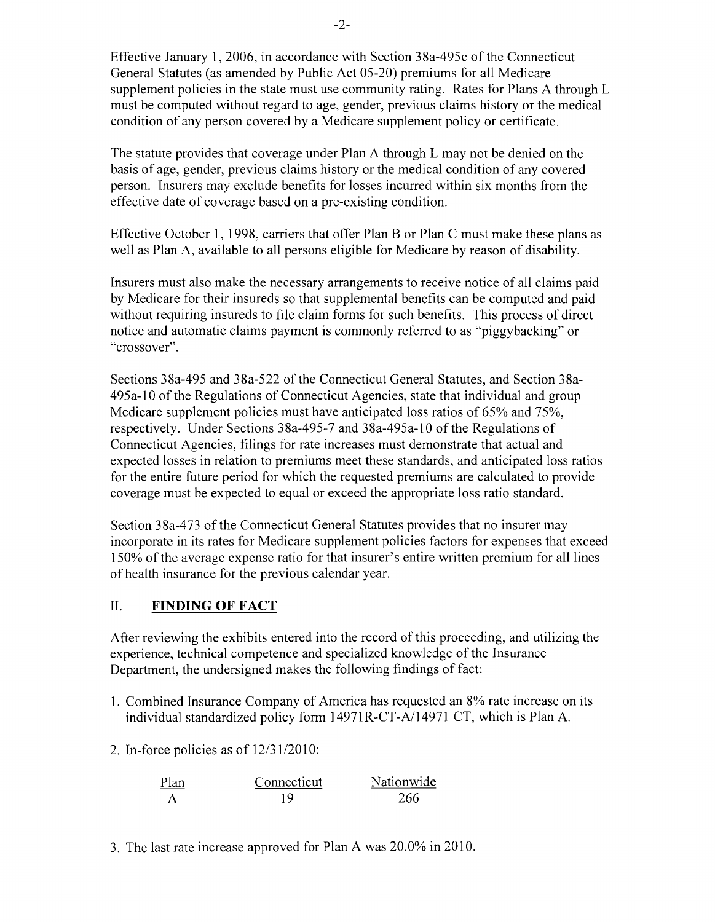Effective January 1,2006, in accordance with Section 38a-495c of the Connecticut General Statutes (as amended by Public Act 05-20) premiums for all Medicare supplement policies in the state must use community rating. Rates for Plans A through L must be computed without regard to age, gender, previous claims history or the medical condition of any person covered by a Medicare supplement policy or certificate.

The statute provides that coverage under Plan A through L may not be denied on the basis of age, gender, previous claims history or the medical condition of any covered person. Insurers may exclude benefits for losses incurred within six months from the effective date of coverage based on a pre-existing condition.

Effective October 1, 1998, carriers that offer Plan B or Plan C must make these plans as well as Plan A, available to all persons eligible for Medicare by reason of disability.

Insurers must also make the necessary arrangements to receive notice of all claims paid by Medicare for their insureds so that supplemental benefits can be computed and paid without requiring insureds to file claim forms for such benefits. This process of direct notice and automatic claims payment is commonly referred to as "piggybacking" or "crossover".

Sections 38a-495 and 38a-522 of the Connecticut General Statutes, and Section 38a-495a-10 of the Regulations of Connecticut Agencies, state that individual and group Medicare supplement policies must have anticipated loss ratios of 65% and 75%, respectively. Under Sections 38a-495-7 and 38a-495a-10 of the Regulations of Connecticut Agencies, filings for rate increases must demonstrate that actual and expected losses in relation to premiums meet these standards, and anticipated loss ratios for the entire future period for which the requested premiums are calculated to provide coverage must be expected to equal or exceed the appropriate loss ratio standard.

Section 38a-473 of the Connecticut General Statutes provides that no insurer may incorporate in its rates for Medicare supplement policies factors for expenses that exceed 150% of the average expense ratio for that insurer's entire written premium for all lines of health insurance for the previous calendar year.

## II. **FINDING OF FACT**

After reviewing the exhibits entered into the record of this proceeding, and utilizing the experience, technical competence and specialized knowledge of the Insurance Department, the undersigned makes the following findings of fact:

- 1. Combined Insurance Company of America has requested an 8% rate increase on its individual standardized policy form 14971R-CT-A/14971 CT, which is Plan A.
- 2. In-force policies as of  $12/31/2010$ :

| Plan | Connecticut | Nationwide |
|------|-------------|------------|
|      | 1 Q         | 266        |

3. The last rate increase approved for Plan A was 20.0% in 2010.